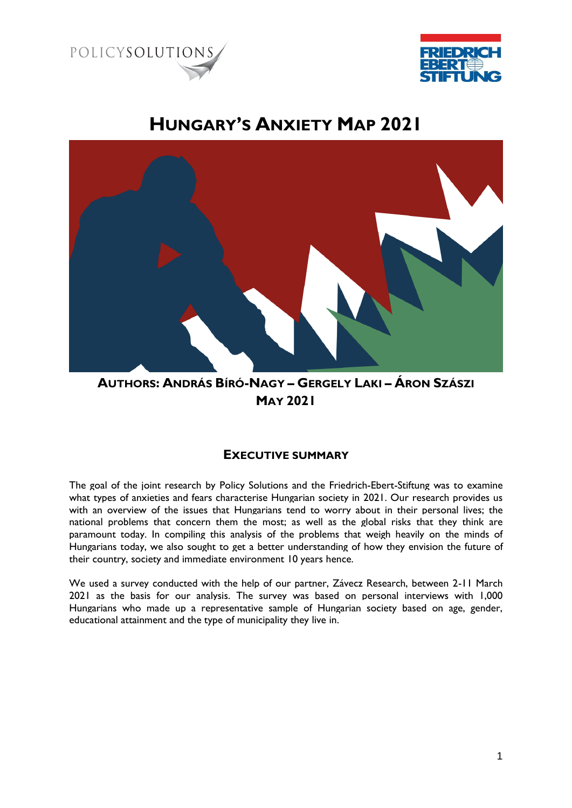



# **HUNGARY'S ANXIETY MAP 2021**



### **AUTHORS: ANDRÁS BÍRÓ-NAGY – GERGELY LAKI – ÁRON SZÁSZI MAY 2021**

#### **EXECUTIVE SUMMARY**

The goal of the joint research by Policy Solutions and the Friedrich-Ebert-Stiftung was to examine what types of anxieties and fears characterise Hungarian society in 2021. Our research provides us with an overview of the issues that Hungarians tend to worry about in their personal lives; the national problems that concern them the most; as well as the global risks that they think are paramount today. In compiling this analysis of the problems that weigh heavily on the minds of Hungarians today, we also sought to get a better understanding of how they envision the future of their country, society and immediate environment 10 years hence.

We used a survey conducted with the help of our partner, Závecz Research, between 2-11 March 2021 as the basis for our analysis. The survey was based on personal interviews with 1,000 Hungarians who made up a representative sample of Hungarian society based on age, gender, educational attainment and the type of municipality they live in.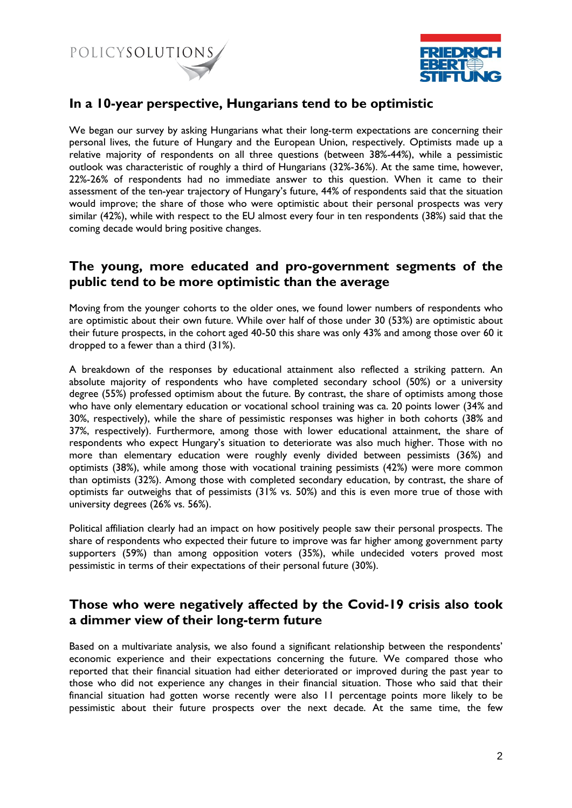



#### **In a 10-year perspective, Hungarians tend to be optimistic**

We began our survey by asking Hungarians what their long-term expectations are concerning their personal lives, the future of Hungary and the European Union, respectively. Optimists made up a relative majority of respondents on all three questions (between 38%-44%), while a pessimistic outlook was characteristic of roughly a third of Hungarians (32%-36%). At the same time, however, 22%-26% of respondents had no immediate answer to this question. When it came to their assessment of the ten-year trajectory of Hungary's future, 44% of respondents said that the situation would improve; the share of those who were optimistic about their personal prospects was very similar (42%), while with respect to the EU almost every four in ten respondents (38%) said that the coming decade would bring positive changes.

#### **The young, more educated and pro-government segments of the public tend to be more optimistic than the average**

Moving from the younger cohorts to the older ones, we found lower numbers of respondents who are optimistic about their own future. While over half of those under 30 (53%) are optimistic about their future prospects, in the cohort aged 40-50 this share was only 43% and among those over 60 it dropped to a fewer than a third (31%).

A breakdown of the responses by educational attainment also reflected a striking pattern. An absolute majority of respondents who have completed secondary school (50%) or a university degree (55%) professed optimism about the future. By contrast, the share of optimists among those who have only elementary education or vocational school training was ca. 20 points lower (34% and 30%, respectively), while the share of pessimistic responses was higher in both cohorts (38% and 37%, respectively). Furthermore, among those with lower educational attainment, the share of respondents who expect Hungary's situation to deteriorate was also much higher. Those with no more than elementary education were roughly evenly divided between pessimists (36%) and optimists (38%), while among those with vocational training pessimists (42%) were more common than optimists (32%). Among those with completed secondary education, by contrast, the share of optimists far outweighs that of pessimists (31% vs. 50%) and this is even more true of those with university degrees (26% vs. 56%).

Political affiliation clearly had an impact on how positively people saw their personal prospects. The share of respondents who expected their future to improve was far higher among government party supporters (59%) than among opposition voters (35%), while undecided voters proved most pessimistic in terms of their expectations of their personal future (30%).

#### **Those who were negatively affected by the Covid-19 crisis also took a dimmer view of their long-term future**

Based on a multivariate analysis, we also found a significant relationship between the respondents' economic experience and their expectations concerning the future. We compared those who reported that their financial situation had either deteriorated or improved during the past year to those who did not experience any changes in their financial situation. Those who said that their financial situation had gotten worse recently were also 11 percentage points more likely to be pessimistic about their future prospects over the next decade. At the same time, the few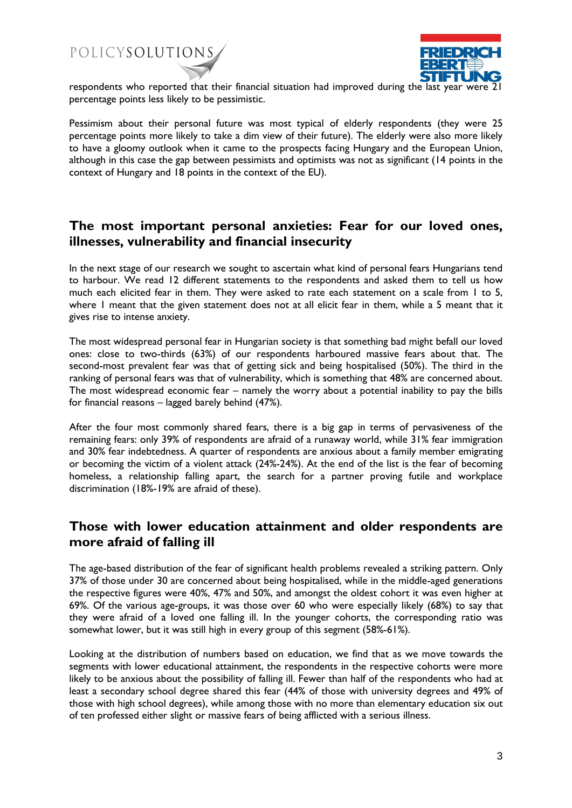## POLICYSOLUTIONS



respondents who reported that their financial situation had improved during the last year were 21 percentage points less likely to be pessimistic.

Pessimism about their personal future was most typical of elderly respondents (they were 25 percentage points more likely to take a dim view of their future). The elderly were also more likely to have a gloomy outlook when it came to the prospects facing Hungary and the European Union, although in this case the gap between pessimists and optimists was not as significant (14 points in the context of Hungary and 18 points in the context of the EU).

#### **The most important personal anxieties: Fear for our loved ones, illnesses, vulnerability and financial insecurity**

In the next stage of our research we sought to ascertain what kind of personal fears Hungarians tend to harbour. We read 12 different statements to the respondents and asked them to tell us how much each elicited fear in them. They were asked to rate each statement on a scale from 1 to 5, where 1 meant that the given statement does not at all elicit fear in them, while a 5 meant that it gives rise to intense anxiety.

The most widespread personal fear in Hungarian society is that something bad might befall our loved ones: close to two-thirds (63%) of our respondents harboured massive fears about that. The second-most prevalent fear was that of getting sick and being hospitalised (50%). The third in the ranking of personal fears was that of vulnerability, which is something that 48% are concerned about. The most widespread economic fear – namely the worry about a potential inability to pay the bills for financial reasons – lagged barely behind (47%).

After the four most commonly shared fears, there is a big gap in terms of pervasiveness of the remaining fears: only 39% of respondents are afraid of a runaway world, while 31% fear immigration and 30% fear indebtedness. A quarter of respondents are anxious about a family member emigrating or becoming the victim of a violent attack (24%-24%). At the end of the list is the fear of becoming homeless, a relationship falling apart, the search for a partner proving futile and workplace discrimination (18%-19% are afraid of these).

#### **Those with lower education attainment and older respondents are more afraid of falling ill**

The age-based distribution of the fear of significant health problems revealed a striking pattern. Only 37% of those under 30 are concerned about being hospitalised, while in the middle-aged generations the respective figures were 40%, 47% and 50%, and amongst the oldest cohort it was even higher at 69%. Of the various age-groups, it was those over 60 who were especially likely (68%) to say that they were afraid of a loved one falling ill. In the younger cohorts, the corresponding ratio was somewhat lower, but it was still high in every group of this segment (58%-61%).

Looking at the distribution of numbers based on education, we find that as we move towards the segments with lower educational attainment, the respondents in the respective cohorts were more likely to be anxious about the possibility of falling ill. Fewer than half of the respondents who had at least a secondary school degree shared this fear (44% of those with university degrees and 49% of those with high school degrees), while among those with no more than elementary education six out of ten professed either slight or massive fears of being afflicted with a serious illness.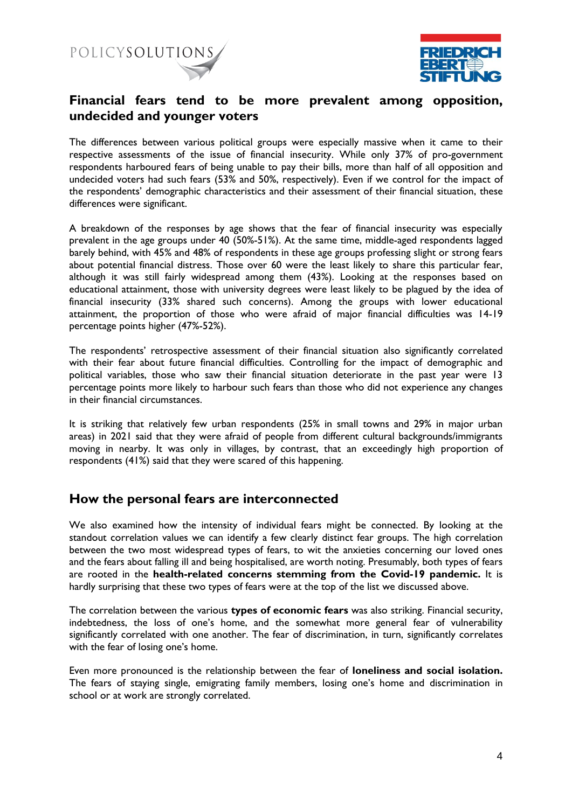



#### **Financial fears tend to be more prevalent among opposition, undecided and younger voters**

The differences between various political groups were especially massive when it came to their respective assessments of the issue of financial insecurity. While only 37% of pro-government respondents harboured fears of being unable to pay their bills, more than half of all opposition and undecided voters had such fears (53% and 50%, respectively). Even if we control for the impact of the respondents' demographic characteristics and their assessment of their financial situation, these differences were significant.

A breakdown of the responses by age shows that the fear of financial insecurity was especially prevalent in the age groups under 40 (50%-51%). At the same time, middle-aged respondents lagged barely behind, with 45% and 48% of respondents in these age groups professing slight or strong fears about potential financial distress. Those over 60 were the least likely to share this particular fear, although it was still fairly widespread among them (43%). Looking at the responses based on educational attainment, those with university degrees were least likely to be plagued by the idea of financial insecurity (33% shared such concerns). Among the groups with lower educational attainment, the proportion of those who were afraid of major financial difficulties was 14-19 percentage points higher (47%-52%).

The respondents' retrospective assessment of their financial situation also significantly correlated with their fear about future financial difficulties. Controlling for the impact of demographic and political variables, those who saw their financial situation deteriorate in the past year were 13 percentage points more likely to harbour such fears than those who did not experience any changes in their financial circumstances.

It is striking that relatively few urban respondents (25% in small towns and 29% in major urban areas) in 2021 said that they were afraid of people from different cultural backgrounds/immigrants moving in nearby. It was only in villages, by contrast, that an exceedingly high proportion of respondents (41%) said that they were scared of this happening.

#### **How the personal fears are interconnected**

We also examined how the intensity of individual fears might be connected. By looking at the standout correlation values we can identify a few clearly distinct fear groups. The high correlation between the two most widespread types of fears, to wit the anxieties concerning our loved ones and the fears about falling ill and being hospitalised, are worth noting. Presumably, both types of fears are rooted in the **health-related concerns stemming from the Covid-19 pandemic.** It is hardly surprising that these two types of fears were at the top of the list we discussed above.

The correlation between the various **types of economic fears** was also striking. Financial security, indebtedness, the loss of one's home, and the somewhat more general fear of vulnerability significantly correlated with one another. The fear of discrimination, in turn, significantly correlates with the fear of losing one's home.

Even more pronounced is the relationship between the fear of **loneliness and social isolation.**  The fears of staying single, emigrating family members, losing one's home and discrimination in school or at work are strongly correlated.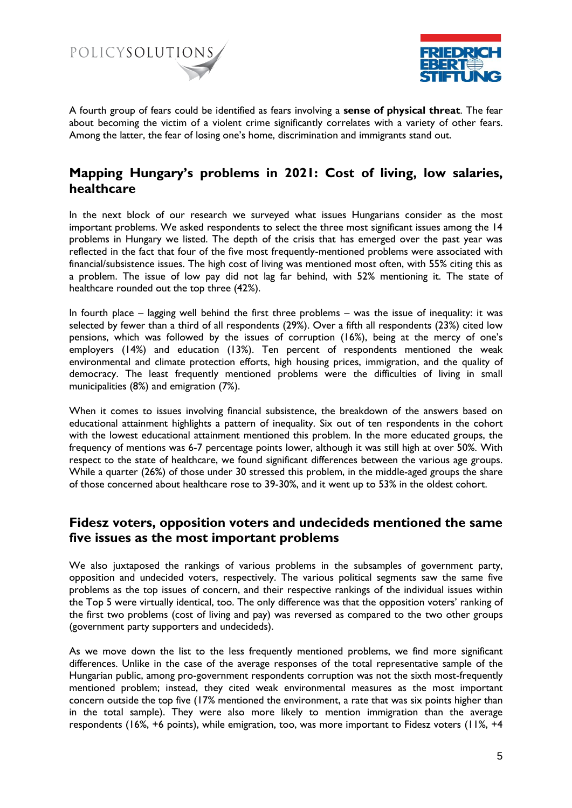



A fourth group of fears could be identified as fears involving a **sense of physical threat**. The fear about becoming the victim of a violent crime significantly correlates with a variety of other fears. Among the latter, the fear of losing one's home, discrimination and immigrants stand out.

#### **Mapping Hungary's problems in 2021: Cost of living, low salaries, healthcare**

In the next block of our research we surveyed what issues Hungarians consider as the most important problems. We asked respondents to select the three most significant issues among the 14 problems in Hungary we listed. The depth of the crisis that has emerged over the past year was reflected in the fact that four of the five most frequently-mentioned problems were associated with financial/subsistence issues. The high cost of living was mentioned most often, with 55% citing this as a problem. The issue of low pay did not lag far behind, with 52% mentioning it. The state of healthcare rounded out the top three (42%).

In fourth place – lagging well behind the first three problems – was the issue of inequality: it was selected by fewer than a third of all respondents (29%). Over a fifth all respondents (23%) cited low pensions, which was followed by the issues of corruption (16%), being at the mercy of one's employers (14%) and education (13%). Ten percent of respondents mentioned the weak environmental and climate protection efforts, high housing prices, immigration, and the quality of democracy. The least frequently mentioned problems were the difficulties of living in small municipalities (8%) and emigration (7%).

When it comes to issues involving financial subsistence, the breakdown of the answers based on educational attainment highlights a pattern of inequality. Six out of ten respondents in the cohort with the lowest educational attainment mentioned this problem. In the more educated groups, the frequency of mentions was 6-7 percentage points lower, although it was still high at over 50%. With respect to the state of healthcare, we found significant differences between the various age groups. While a quarter (26%) of those under 30 stressed this problem, in the middle-aged groups the share of those concerned about healthcare rose to 39-30%, and it went up to 53% in the oldest cohort.

#### **Fidesz voters, opposition voters and undecideds mentioned the same five issues as the most important problems**

We also juxtaposed the rankings of various problems in the subsamples of government party, opposition and undecided voters, respectively. The various political segments saw the same five problems as the top issues of concern, and their respective rankings of the individual issues within the Top 5 were virtually identical, too. The only difference was that the opposition voters' ranking of the first two problems (cost of living and pay) was reversed as compared to the two other groups (government party supporters and undecideds).

As we move down the list to the less frequently mentioned problems, we find more significant differences. Unlike in the case of the average responses of the total representative sample of the Hungarian public, among pro-government respondents corruption was not the sixth most-frequently mentioned problem; instead, they cited weak environmental measures as the most important concern outside the top five (17% mentioned the environment, a rate that was six points higher than in the total sample). They were also more likely to mention immigration than the average respondents (16%, +6 points), while emigration, too, was more important to Fidesz voters (11%, +4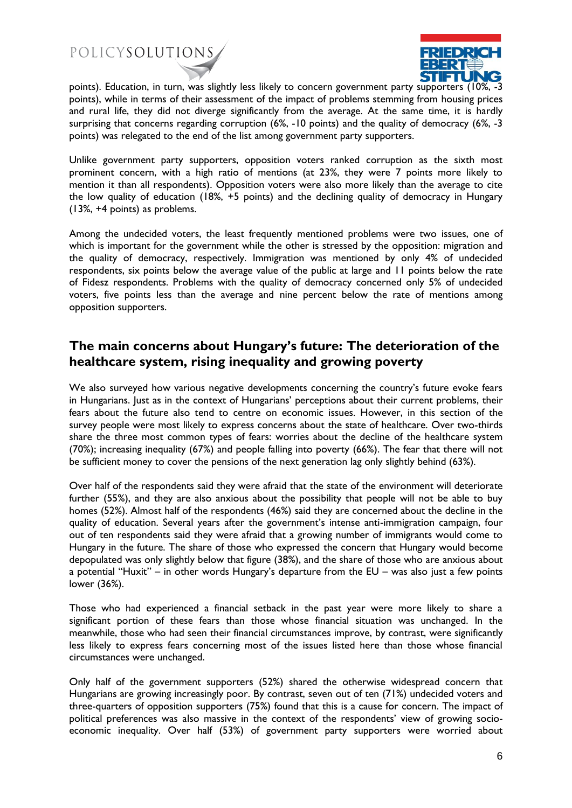POLICYSOLUTIONS



 $\overline{a}$ points). Education, in turn, was slightly less likely to concern government party supporters (10%, -3 points), while in terms of their assessment of the impact of problems stemming from housing prices and rural life, they did not diverge significantly from the average. At the same time, it is hardly surprising that concerns regarding corruption (6%, -10 points) and the quality of democracy (6%, -3 points) was relegated to the end of the list among government party supporters.

Unlike government party supporters, opposition voters ranked corruption as the sixth most prominent concern, with a high ratio of mentions (at 23%, they were 7 points more likely to mention it than all respondents). Opposition voters were also more likely than the average to cite the low quality of education (18%, +5 points) and the declining quality of democracy in Hungary (13%, +4 points) as problems.

Among the undecided voters, the least frequently mentioned problems were two issues, one of which is important for the government while the other is stressed by the opposition: migration and the quality of democracy, respectively. Immigration was mentioned by only 4% of undecided respondents, six points below the average value of the public at large and 11 points below the rate of Fidesz respondents. Problems with the quality of democracy concerned only 5% of undecided voters, five points less than the average and nine percent below the rate of mentions among opposition supporters.

#### **The main concerns about Hungary's future: The deterioration of the healthcare system, rising inequality and growing poverty**

We also surveyed how various negative developments concerning the country's future evoke fears in Hungarians. Just as in the context of Hungarians' perceptions about their current problems, their fears about the future also tend to centre on economic issues. However, in this section of the survey people were most likely to express concerns about the state of healthcare. Over two-thirds share the three most common types of fears: worries about the decline of the healthcare system (70%); increasing inequality (67%) and people falling into poverty (66%). The fear that there will not be sufficient money to cover the pensions of the next generation lag only slightly behind (63%).

Over half of the respondents said they were afraid that the state of the environment will deteriorate further (55%), and they are also anxious about the possibility that people will not be able to buy homes (52%). Almost half of the respondents (46%) said they are concerned about the decline in the quality of education. Several years after the government's intense anti-immigration campaign, four out of ten respondents said they were afraid that a growing number of immigrants would come to Hungary in the future. The share of those who expressed the concern that Hungary would become depopulated was only slightly below that figure (38%), and the share of those who are anxious about a potential "Huxit" – in other words Hungary's departure from the EU – was also just a few points lower (36%).

Those who had experienced a financial setback in the past year were more likely to share a significant portion of these fears than those whose financial situation was unchanged. In the meanwhile, those who had seen their financial circumstances improve, by contrast, were significantly less likely to express fears concerning most of the issues listed here than those whose financial circumstances were unchanged.

Only half of the government supporters (52%) shared the otherwise widespread concern that Hungarians are growing increasingly poor. By contrast, seven out of ten (71%) undecided voters and three-quarters of opposition supporters (75%) found that this is a cause for concern. The impact of political preferences was also massive in the context of the respondents' view of growing socioeconomic inequality. Over half (53%) of government party supporters were worried about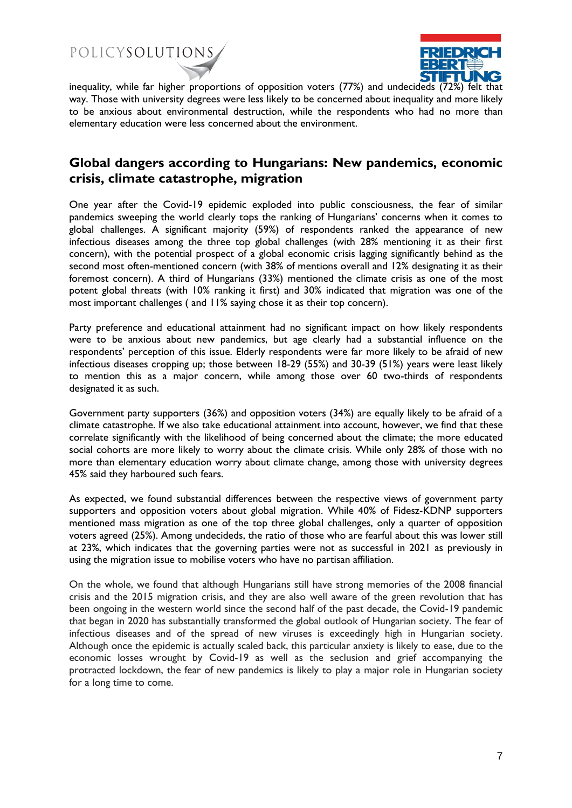POLICYSOLUTIONS



inequality, while far higher proportions of opposition voters (77%) and undecideds (72%) felt that way. Those with university degrees were less likely to be concerned about inequality and more likely to be anxious about environmental destruction, while the respondents who had no more than elementary education were less concerned about the environment.

#### **Global dangers according to Hungarians: New pandemics, economic crisis, climate catastrophe, migration**

One year after the Covid-19 epidemic exploded into public consciousness, the fear of similar pandemics sweeping the world clearly tops the ranking of Hungarians' concerns when it comes to global challenges. A significant majority (59%) of respondents ranked the appearance of new infectious diseases among the three top global challenges (with 28% mentioning it as their first concern), with the potential prospect of a global economic crisis lagging significantly behind as the second most often-mentioned concern (with 38% of mentions overall and 12% designating it as their foremost concern). A third of Hungarians (33%) mentioned the climate crisis as one of the most potent global threats (with 10% ranking it first) and 30% indicated that migration was one of the most important challenges ( and 11% saying chose it as their top concern).

Party preference and educational attainment had no significant impact on how likely respondents were to be anxious about new pandemics, but age clearly had a substantial influence on the respondents' perception of this issue. Elderly respondents were far more likely to be afraid of new infectious diseases cropping up; those between 18-29 (55%) and 30-39 (51%) years were least likely to mention this as a major concern, while among those over 60 two-thirds of respondents designated it as such.

Government party supporters (36%) and opposition voters (34%) are equally likely to be afraid of a climate catastrophe. If we also take educational attainment into account, however, we find that these correlate significantly with the likelihood of being concerned about the climate; the more educated social cohorts are more likely to worry about the climate crisis. While only 28% of those with no more than elementary education worry about climate change, among those with university degrees 45% said they harboured such fears.

As expected, we found substantial differences between the respective views of government party supporters and opposition voters about global migration. While 40% of Fidesz-KDNP supporters mentioned mass migration as one of the top three global challenges, only a quarter of opposition voters agreed (25%). Among undecideds, the ratio of those who are fearful about this was lower still at 23%, which indicates that the governing parties were not as successful in 2021 as previously in using the migration issue to mobilise voters who have no partisan affiliation.

On the whole, we found that although Hungarians still have strong memories of the 2008 financial crisis and the 2015 migration crisis, and they are also well aware of the green revolution that has been ongoing in the western world since the second half of the past decade, the Covid-19 pandemic that began in 2020 has substantially transformed the global outlook of Hungarian society. The fear of infectious diseases and of the spread of new viruses is exceedingly high in Hungarian society. Although once the epidemic is actually scaled back, this particular anxiety is likely to ease, due to the economic losses wrought by Covid-19 as well as the seclusion and grief accompanying the protracted lockdown, the fear of new pandemics is likely to play a major role in Hungarian society for a long time to come.